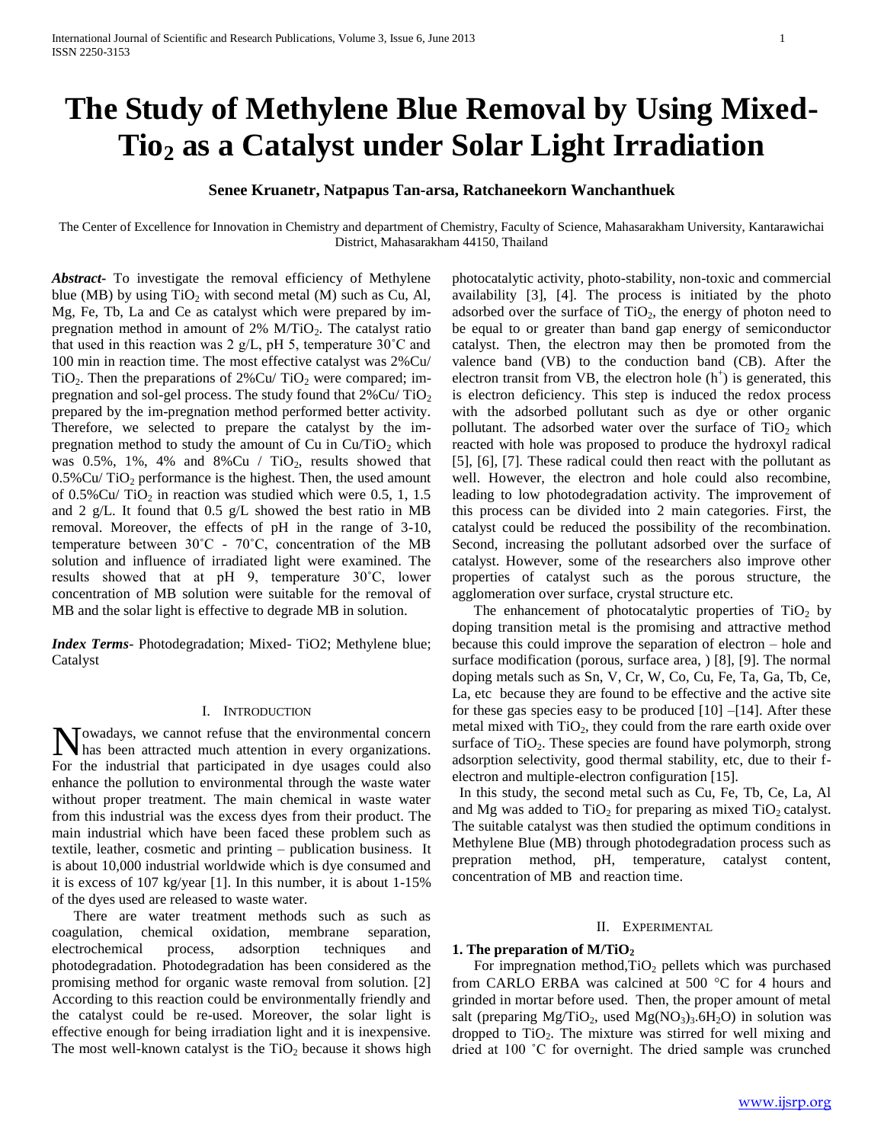# **The Study of Methylene Blue Removal by Using Mixed-Tio<sup>2</sup> as a Catalyst under Solar Light Irradiation**

# **Senee Kruanetr, Natpapus Tan-arsa, Ratchaneekorn Wanchanthuek**

The Center of Excellence for Innovation in Chemistry and department of Chemistry, Faculty of Science, Mahasarakham University, Kantarawichai District, Mahasarakham 44150, Thailand

*Abstract***-** To investigate the removal efficiency of Methylene blue (MB) by using  $TiO<sub>2</sub>$  with second metal (M) such as Cu, Al, Mg, Fe, Tb, La and Ce as catalyst which were prepared by impregnation method in amount of  $2\%$  M/TiO<sub>2</sub>. The catalyst ratio that used in this reaction was 2 g/L, pH 5, temperature  $30^{\circ}$ C and 100 min in reaction time. The most effective catalyst was 2%Cu/ TiO<sub>2</sub>. Then the preparations of  $2\%$ Cu/TiO<sub>2</sub> were compared; impregnation and sol-gel process. The study found that  $2\%$  Cu/ TiO<sub>2</sub> prepared by the im-pregnation method performed better activity. Therefore, we selected to prepare the catalyst by the impregnation method to study the amount of Cu in  $Cu/TiO<sub>2</sub>$  which was  $0.5\%$ , 1%, 4% and 8%Cu / TiO<sub>2</sub>, results showed that  $0.5\%$ Cu/TiO<sub>2</sub> performance is the highest. Then, the used amount of  $0.5\%$ Cu/TiO<sub>2</sub> in reaction was studied which were 0.5, 1, 1.5 and 2 g/L. It found that  $0.5$  g/L showed the best ratio in MB removal. Moreover, the effects of pH in the range of 3-10, temperature between  $30^{\circ}$ C -  $70^{\circ}$ C, concentration of the MB solution and influence of irradiated light were examined. The results showed that at pH 9, temperature 30˚C, lower concentration of MB solution were suitable for the removal of MB and the solar light is effective to degrade MB in solution.

*Index Terms*- Photodegradation; Mixed- TiO2; Methylene blue; Catalyst

# I. INTRODUCTION

owadays, we cannot refuse that the environmental concern **N**owadays, we cannot refuse that the environmental concern<br>has been attracted much attention in every organizations. For the industrial that participated in dye usages could also enhance the pollution to environmental through the waste water without proper treatment. The main chemical in waste water from this industrial was the excess dyes from their product. The main industrial which have been faced these problem such as textile, leather, cosmetic and printing – publication business. It is about 10,000 industrial worldwide which is dye consumed and it is excess of 107 kg/year [1]. In this number, it is about 1-15% of the dyes used are released to waste water.

 There are water treatment methods such as such as coagulation, chemical oxidation, membrane separation, electrochemical process, adsorption techniques and photodegradation. Photodegradation has been considered as the promising method for organic waste removal from solution. [2] According to this reaction could be environmentally friendly and the catalyst could be re-used. Moreover, the solar light is effective enough for being irradiation light and it is inexpensive. The most well-known catalyst is the  $TiO<sub>2</sub>$  because it shows high photocatalytic activity, photo-stability, non-toxic and commercial availability [3], [4]. The process is initiated by the photo adsorbed over the surface of  $TiO<sub>2</sub>$ , the energy of photon need to be equal to or greater than band gap energy of semiconductor catalyst. Then, the electron may then be promoted from the valence band (VB) to the conduction band (CB). After the electron transit from VB, the electron hole  $(h<sup>+</sup>)$  is generated, this is electron deficiency. This step is induced the redox process with the adsorbed pollutant such as dye or other organic pollutant. The adsorbed water over the surface of  $TiO<sub>2</sub>$  which reacted with hole was proposed to produce the hydroxyl radical [5], [6], [7]. These radical could then react with the pollutant as well. However, the electron and hole could also recombine, leading to low photodegradation activity. The improvement of this process can be divided into 2 main categories. First, the catalyst could be reduced the possibility of the recombination. Second, increasing the pollutant adsorbed over the surface of catalyst. However, some of the researchers also improve other properties of catalyst such as the porous structure, the agglomeration over surface, crystal structure etc.

The enhancement of photocatalytic properties of  $TiO<sub>2</sub>$  by doping transition metal is the promising and attractive method because this could improve the separation of electron – hole and surface modification (porous, surface area, ) [8], [9]. The normal doping metals such as Sn, V, Cr, W, Co, Cu, Fe, Ta, Ga, Tb, Ce, La, etc because they are found to be effective and the active site for these gas species easy to be produced  $[10]$  –[14]. After these metal mixed with  $TiO<sub>2</sub>$ , they could from the rare earth oxide over surface of  $TiO<sub>2</sub>$ . These species are found have polymorph, strong adsorption selectivity, good thermal stability, etc, due to their felectron and multiple-electron configuration [15].

 In this study, the second metal such as Cu, Fe, Tb, Ce, La, Al and Mg was added to  $TiO<sub>2</sub>$  for preparing as mixed  $TiO<sub>2</sub>$  catalyst. The suitable catalyst was then studied the optimum conditions in Methylene Blue (MB) through photodegradation process such as prepration method, pH, temperature, catalyst content, concentration of MB and reaction time.

### II. EXPERIMENTAL

# **1. The preparation of M/TiO<sup>2</sup>**

For impregnation method, $TiO<sub>2</sub>$  pellets which was purchased from CARLO ERBA was calcined at 500  $^{\circ}$ C for 4 hours and grinded in mortar before used. Then, the proper amount of metal salt (preparing Mg/TiO<sub>2</sub>, used Mg(NO<sub>3</sub>)<sub>3</sub>.6H<sub>2</sub>O) in solution was dropped to  $TiO<sub>2</sub>$ . The mixture was stirred for well mixing and dried at 100 ˚C for overnight. The dried sample was crunched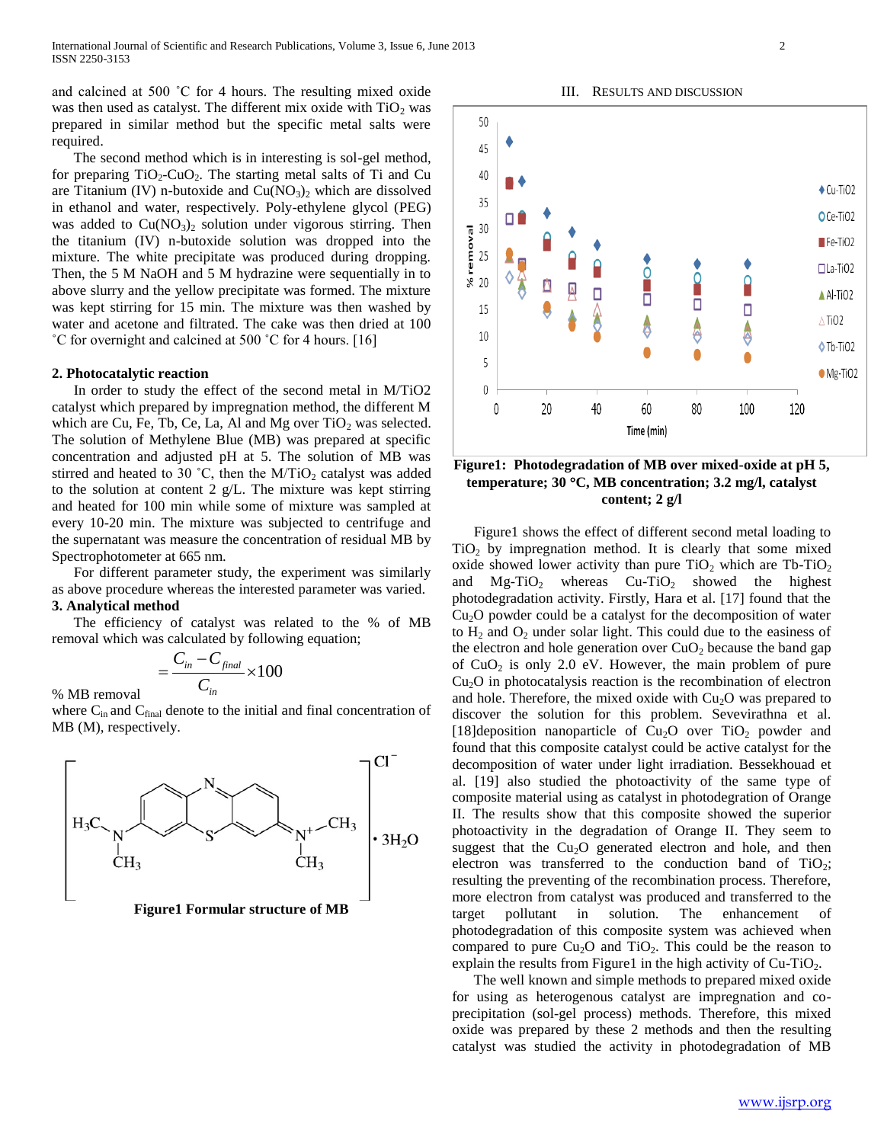and calcined at 500 ˚C for 4 hours. The resulting mixed oxide was then used as catalyst. The different mix oxide with  $TiO<sub>2</sub>$  was prepared in similar method but the specific metal salts were required.

 The second method which is in interesting is sol-gel method, for preparing  $TiO_2$ -CuO<sub>2</sub>. The starting metal salts of Ti and Cu are Titanium (IV) n-butoxide and  $Cu(NO<sub>3</sub>)<sub>2</sub>$  which are dissolved in ethanol and water, respectively. Poly-ethylene glycol (PEG) was added to  $Cu(NO<sub>3</sub>)<sub>2</sub>$  solution under vigorous stirring. Then the titanium (IV) n-butoxide solution was dropped into the mixture. The white precipitate was produced during dropping. Then, the 5 M NaOH and 5 M hydrazine were sequentially in to above slurry and the yellow precipitate was formed. The mixture was kept stirring for 15 min. The mixture was then washed by water and acetone and filtrated. The cake was then dried at 100 ˚C for overnight and calcined at 500 ˚C for 4 hours. [16]

# **2. Photocatalytic reaction**

 In order to study the effect of the second metal in M/TiO2 catalyst which prepared by impregnation method, the different M which are Cu, Fe, Tb, Ce, La, Al and Mg over  $TiO<sub>2</sub>$  was selected. The solution of Methylene Blue (MB) was prepared at specific concentration and adjusted pH at 5. The solution of MB was stirred and heated to 30 °C, then the  $M/TiO<sub>2</sub>$  catalyst was added to the solution at content 2 g/L. The mixture was kept stirring and heated for 100 min while some of mixture was sampled at every 10-20 min. The mixture was subjected to centrifuge and the supernatant was measure the concentration of residual MB by Spectrophotometer at 665 nm.

 For different parameter study, the experiment was similarly as above procedure whereas the interested parameter was varied. **3. Analytical method**

 The efficiency of catalyst was related to the % of MB removal which was calculated by following equation;

$$
=\frac{C_{in}-C_{final}}{C_{in}}\times 100
$$

% MB removal

where  $C_{in}$  and  $C_{final}$  denote to the initial and final concentration of MB (M), respectively.





III. RESULTS AND DISCUSSION

# **Figure1: Photodegradation of MB over mixed-oxide at pH 5, temperature; 30 C, MB concentration; 3.2 mg/l, catalyst content; 2 g/l**

 Figure1 shows the effect of different second metal loading to  $TiO<sub>2</sub>$  by impregnation method. It is clearly that some mixed oxide showed lower activity than pure  $TiO<sub>2</sub>$  which are Tb-TiO<sub>2</sub> and  $Mg-TiO<sub>2</sub>$  whereas  $Cu-TiO<sub>2</sub>$  showed the highest photodegradation activity. Firstly, Hara et al. [17] found that the  $Cu<sub>2</sub>O$  powder could be a catalyst for the decomposition of water to  $H_2$  and  $O_2$  under solar light. This could due to the easiness of the electron and hole generation over  $CuO<sub>2</sub>$  because the band gap of  $CuO<sub>2</sub>$  is only 2.0 eV. However, the main problem of pure Cu2O in photocatalysis reaction is the recombination of electron and hole. Therefore, the mixed oxide with  $Cu<sub>2</sub>O$  was prepared to discover the solution for this problem. Sevevirathna et al. [18]deposition nanoparticle of  $Cu<sub>2</sub>O$  over TiO<sub>2</sub> powder and found that this composite catalyst could be active catalyst for the decomposition of water under light irradiation. Bessekhouad et al. [19] also studied the photoactivity of the same type of composite material using as catalyst in photodegration of Orange II. The results show that this composite showed the superior photoactivity in the degradation of Orange II. They seem to suggest that the  $Cu<sub>2</sub>O$  generated electron and hole, and then electron was transferred to the conduction band of  $TiO<sub>2</sub>$ ; resulting the preventing of the recombination process. Therefore, more electron from catalyst was produced and transferred to the target pollutant in solution. The enhancement of photodegradation of this composite system was achieved when compared to pure  $Cu<sub>2</sub>O$  and  $TiO<sub>2</sub>$ . This could be the reason to explain the results from Figure1 in the high activity of  $Cu-TiO<sub>2</sub>$ .

 The well known and simple methods to prepared mixed oxide for using as heterogenous catalyst are impregnation and coprecipitation (sol-gel process) methods. Therefore, this mixed oxide was prepared by these 2 methods and then the resulting catalyst was studied the activity in photodegradation of MB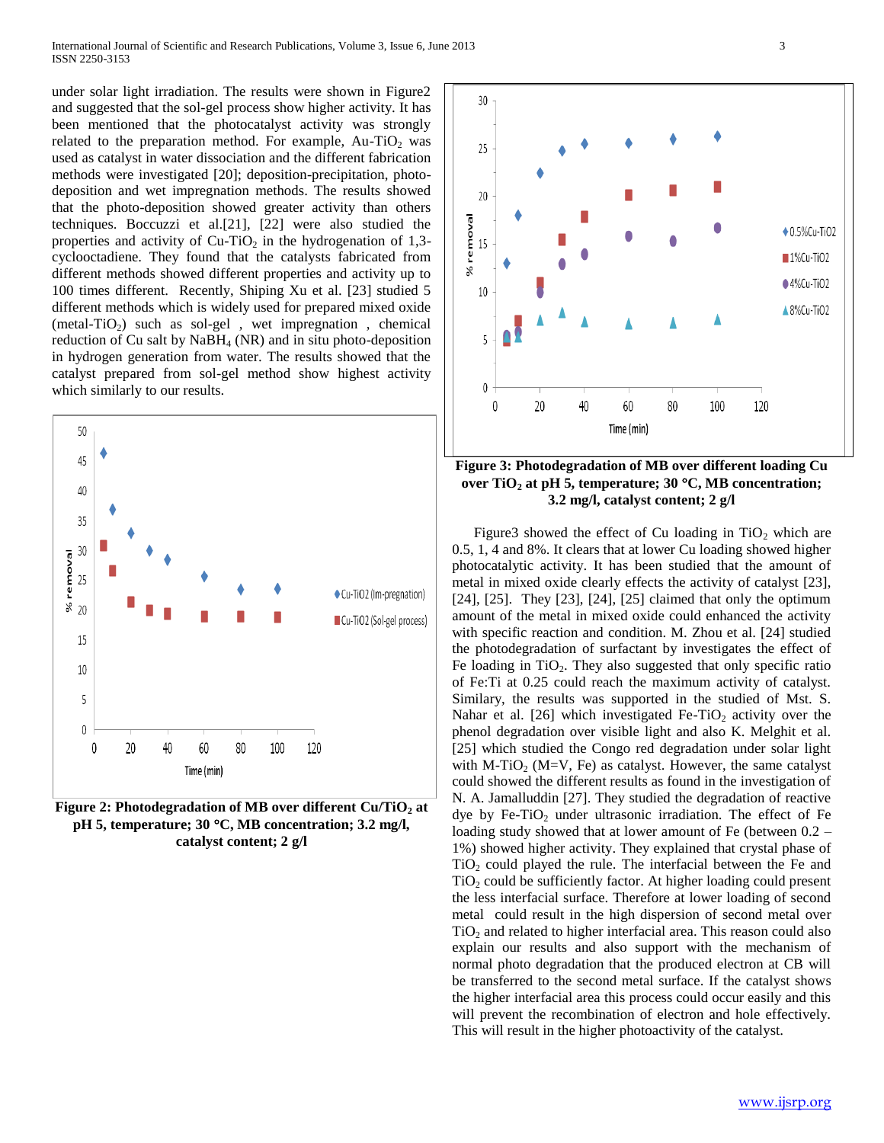under solar light irradiation. The results were shown in Figure2 and suggested that the sol-gel process show higher activity. It has been mentioned that the photocatalyst activity was strongly related to the preparation method. For example,  $Au-TiO<sub>2</sub>$  was used as catalyst in water dissociation and the different fabrication methods were investigated [20]; deposition-precipitation, photodeposition and wet impregnation methods. The results showed that the photo-deposition showed greater activity than others techniques. Boccuzzi et al.[21], [22] were also studied the properties and activity of  $Cu-TiO<sub>2</sub>$  in the hydrogenation of 1,3cyclooctadiene. They found that the catalysts fabricated from different methods showed different properties and activity up to 100 times different. Recently, Shiping Xu et al. [23] studied 5 different methods which is widely used for prepared mixed oxide (metal-TiO<sub>2</sub>) such as sol-gel, wet impregnation, chemical reduction of Cu salt by  $NaBH_4$  (NR) and in situ photo-deposition in hydrogen generation from water. The results showed that the catalyst prepared from sol-gel method show highest activity which similarly to our results.



**Figure 2: Photodegradation of MB over different Cu/TiO<sup>2</sup> at pH 5, temperature; 30 C, MB concentration; 3.2 mg/l, catalyst content; 2 g/l**



**Figure 3: Photodegradation of MB over different loading Cu over TiO<sup>2</sup> at pH 5, temperature; 30 C, MB concentration; 3.2 mg/l, catalyst content; 2 g/l**

Figure3 showed the effect of Cu loading in  $TiO<sub>2</sub>$  which are 0.5, 1, 4 and 8%. It clears that at lower Cu loading showed higher photocatalytic activity. It has been studied that the amount of metal in mixed oxide clearly effects the activity of catalyst [23], [24], [25]. They [23], [24], [25] claimed that only the optimum amount of the metal in mixed oxide could enhanced the activity with specific reaction and condition. M. Zhou et al. [24] studied the photodegradation of surfactant by investigates the effect of Fe loading in  $TiO<sub>2</sub>$ . They also suggested that only specific ratio of Fe:Ti at 0.25 could reach the maximum activity of catalyst. Similary, the results was supported in the studied of Mst. S. Nahar et al. [26] which investigated Fe-TiO<sub>2</sub> activity over the phenol degradation over visible light and also K. Melghit et al. [25] which studied the Congo red degradation under solar light with M-TiO<sub>2</sub> (M=V, Fe) as catalyst. However, the same catalyst could showed the different results as found in the investigation of N. A. Jamalluddin [27]. They studied the degradation of reactive dye by Fe-TiO<sub>2</sub> under ultrasonic irradiation. The effect of Fe loading study showed that at lower amount of Fe (between 0.2 – 1%) showed higher activity. They explained that crystal phase of  $TiO<sub>2</sub>$  could played the rule. The interfacial between the Fe and  $TiO<sub>2</sub>$  could be sufficiently factor. At higher loading could present the less interfacial surface. Therefore at lower loading of second metal could result in the high dispersion of second metal over  $TiO<sub>2</sub>$  and related to higher interfacial area. This reason could also explain our results and also support with the mechanism of normal photo degradation that the produced electron at CB will be transferred to the second metal surface. If the catalyst shows the higher interfacial area this process could occur easily and this will prevent the recombination of electron and hole effectively. This will result in the higher photoactivity of the catalyst.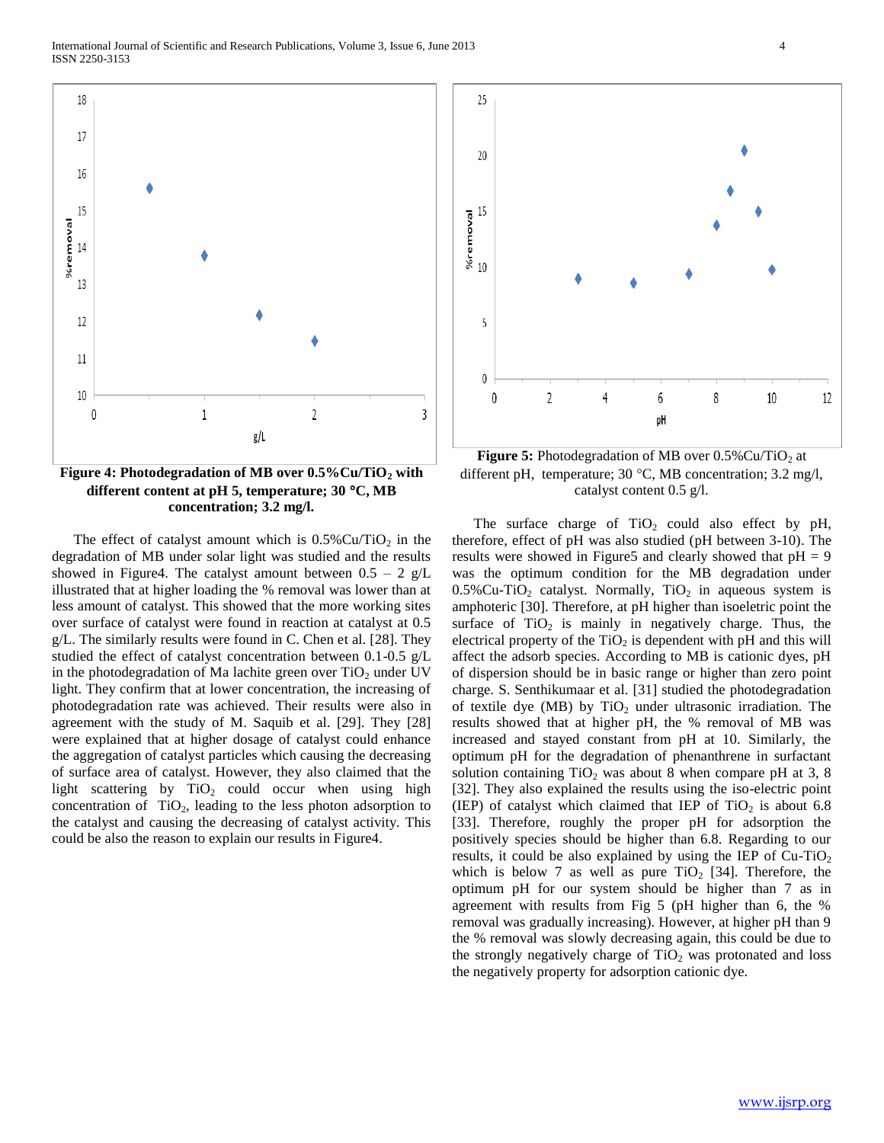

**Figure 4: Photodegradation of MB over 0.5%Cu/TiO<sup>2</sup> with different content at pH 5, temperature; 30 C, MB concentration; 3.2 mg/l.**

The effect of catalyst amount which is  $0.5\%$  Cu/TiO<sub>2</sub> in the degradation of MB under solar light was studied and the results showed in Figure4. The catalyst amount between  $0.5 - 2$  g/L illustrated that at higher loading the % removal was lower than at less amount of catalyst. This showed that the more working sites over surface of catalyst were found in reaction at catalyst at 0.5 g/L. The similarly results were found in C. Chen et al. [28]. They studied the effect of catalyst concentration between 0.1-0.5 g/L in the photodegradation of Ma lachite green over  $TiO<sub>2</sub>$  under UV light. They confirm that at lower concentration, the increasing of photodegradation rate was achieved. Their results were also in agreement with the study of M. Saquib et al. [29]. They [28] were explained that at higher dosage of catalyst could enhance the aggregation of catalyst particles which causing the decreasing of surface area of catalyst. However, they also claimed that the light scattering by  $TiO<sub>2</sub>$  could occur when using high concentration of  $TiO<sub>2</sub>$ , leading to the less photon adsorption to the catalyst and causing the decreasing of catalyst activity. This could be also the reason to explain our results in Figure4.



**Figure 5:** Photodegradation of MB over  $0.5\%$  Cu/TiO<sub>2</sub> at different pH, temperature;  $30^{\circ}$ C, MB concentration;  $3.2 \text{ mg/l}$ , catalyst content 0.5 g/l.

The surface charge of  $TiO<sub>2</sub>$  could also effect by pH, therefore, effect of pH was also studied (pH between 3-10). The results were showed in Figure 5 and clearly showed that  $pH = 9$ was the optimum condition for the MB degradation under  $0.5\%$ Cu-TiO<sub>2</sub> catalyst. Normally, TiO<sub>2</sub> in aqueous system is amphoteric [30]. Therefore, at pH higher than isoeletric point the surface of  $TiO<sub>2</sub>$  is mainly in negatively charge. Thus, the electrical property of the  $TiO<sub>2</sub>$  is dependent with pH and this will affect the adsorb species. According to MB is cationic dyes, pH of dispersion should be in basic range or higher than zero point charge. S. Senthikumaar et al. [31] studied the photodegradation of textile dye (MB) by  $TiO<sub>2</sub>$  under ultrasonic irradiation. The results showed that at higher pH, the % removal of MB was increased and stayed constant from pH at 10. Similarly, the optimum pH for the degradation of phenanthrene in surfactant solution containing  $TiO<sub>2</sub>$  was about 8 when compare pH at 3, 8 [32]. They also explained the results using the iso-electric point (IEP) of catalyst which claimed that IEP of  $TiO<sub>2</sub>$  is about 6.8 [33]. Therefore, roughly the proper pH for adsorption the positively species should be higher than 6.8. Regarding to our results, it could be also explained by using the IEP of  $Cu-TiO<sub>2</sub>$ which is below 7 as well as pure  $TiO<sub>2</sub>$  [34]. Therefore, the optimum pH for our system should be higher than 7 as in agreement with results from Fig 5 (pH higher than 6, the % removal was gradually increasing). However, at higher pH than 9 the % removal was slowly decreasing again, this could be due to the strongly negatively charge of  $TiO<sub>2</sub>$  was protonated and loss the negatively property for adsorption cationic dye.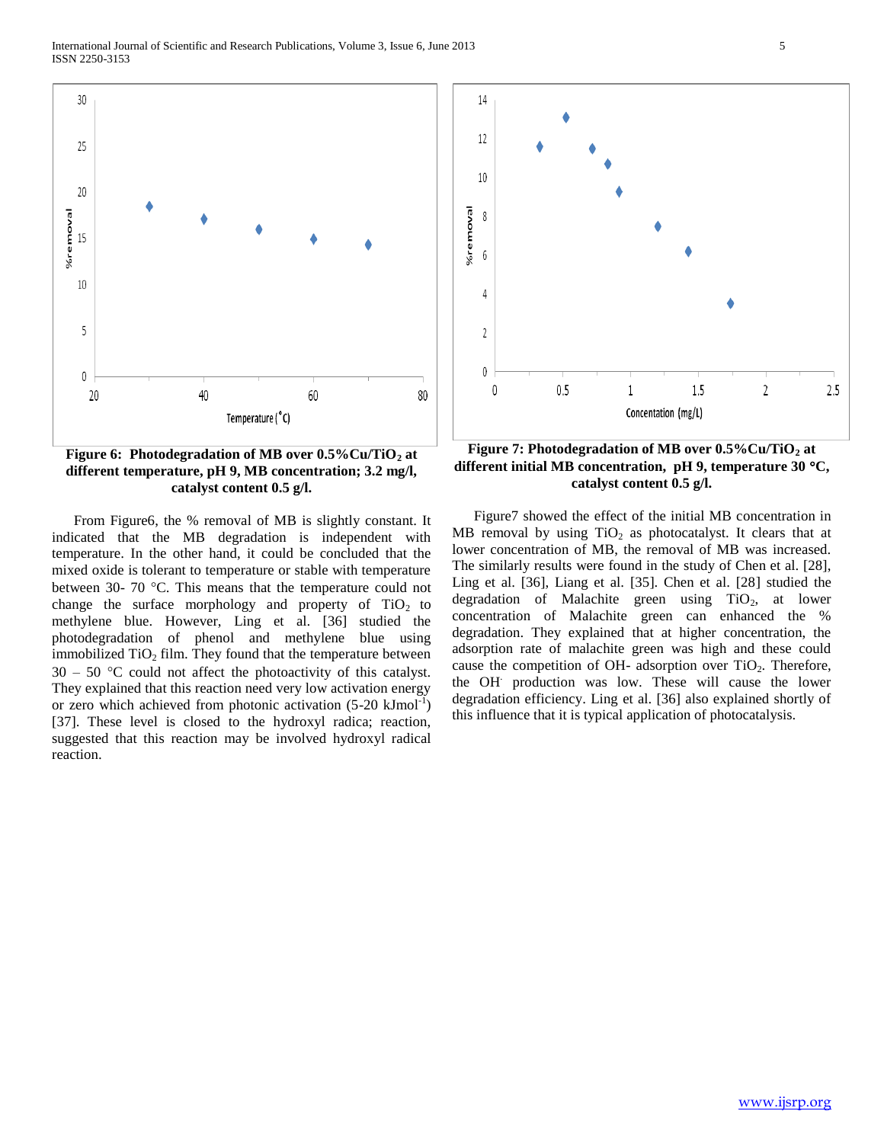International Journal of Scientific and Research Publications, Volume 3, Issue 6, June 2013 5 ISSN 2250-3153



**Figure 6: Photodegradation of MB over 0.5%Cu/TiO<sup>2</sup> at different temperature, pH 9, MB concentration; 3.2 mg/l, catalyst content 0.5 g/l.**

 From Figure6, the % removal of MB is slightly constant. It indicated that the MB degradation is independent with temperature. In the other hand, it could be concluded that the mixed oxide is tolerant to temperature or stable with temperature between 30- 70 °C. This means that the temperature could not change the surface morphology and property of  $TiO<sub>2</sub>$  to methylene blue. However, Ling et al. [36] studied the photodegradation of phenol and methylene blue using immobilized  $TiO<sub>2</sub>$  film. They found that the temperature between  $30 - 50$  °C could not affect the photoactivity of this catalyst. They explained that this reaction need very low activation energy or zero which achieved from photonic activation  $(5{\text -}20 \text{ kJ} \text{mol}^{-1})$ [37]. These level is closed to the hydroxyl radica; reaction, suggested that this reaction may be involved hydroxyl radical reaction.



**Figure 7: Photodegradation of MB over 0.5%Cu/TiO<sup>2</sup> at different initial MB concentration, pH 9, temperature 30 C, catalyst content 0.5 g/l.**

 Figure7 showed the effect of the initial MB concentration in MB removal by using  $TiO<sub>2</sub>$  as photocatalyst. It clears that at lower concentration of MB, the removal of MB was increased. The similarly results were found in the study of Chen et al. [28], Ling et al. [36], Liang et al. [35]. Chen et al. [28] studied the degradation of Malachite green using  $TiO<sub>2</sub>$ , at lower concentration of Malachite green can enhanced the % degradation. They explained that at higher concentration, the adsorption rate of malachite green was high and these could cause the competition of OH- adsorption over  $TiO<sub>2</sub>$ . Therefore, the OH. production was low. These will cause the lower degradation efficiency. Ling et al. [36] also explained shortly of this influence that it is typical application of photocatalysis.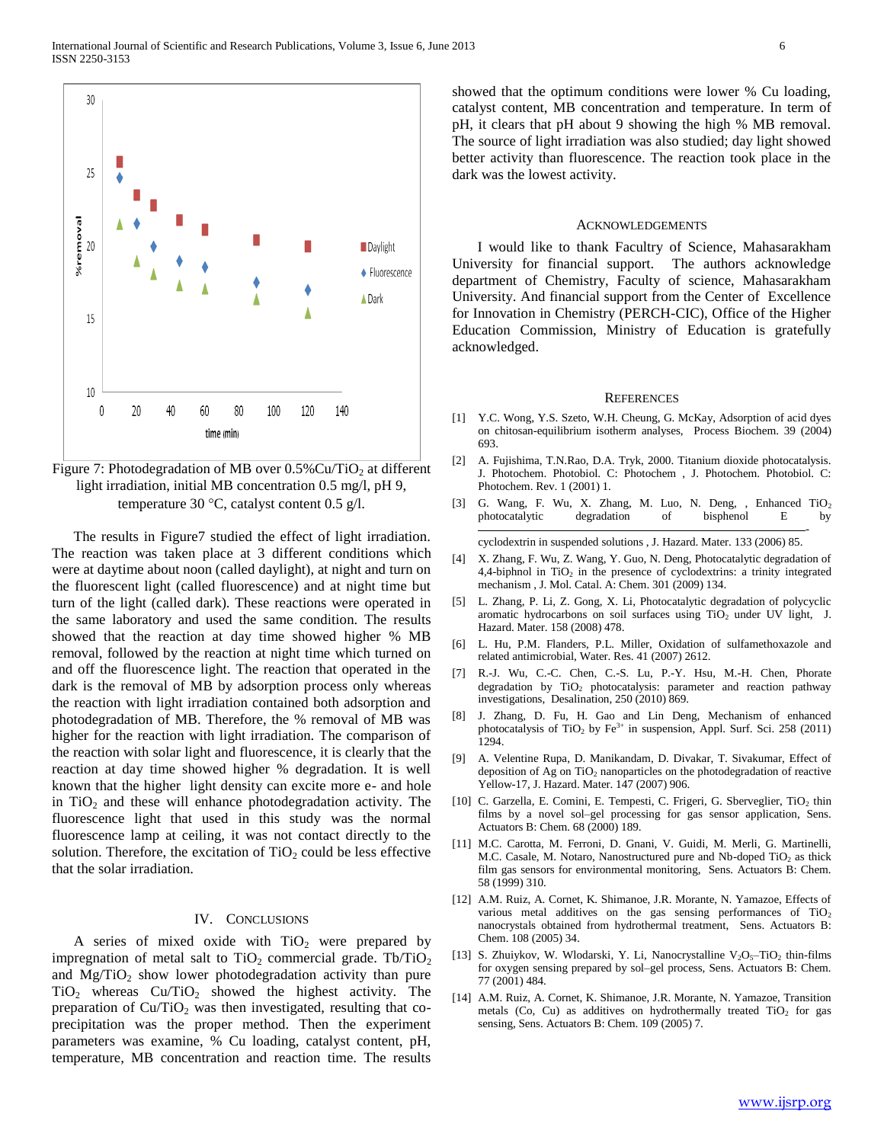

Figure 7: Photodegradation of MB over  $0.5\%$  Cu/TiO<sub>2</sub> at different light irradiation, initial MB concentration 0.5 mg/l, pH 9, temperature 30  $\degree$ C, catalyst content 0.5 g/l.

 The results in Figure7 studied the effect of light irradiation. The reaction was taken place at 3 different conditions which were at daytime about noon (called daylight), at night and turn on the fluorescent light (called fluorescence) and at night time but turn of the light (called dark). These reactions were operated in the same laboratory and used the same condition. The results showed that the reaction at day time showed higher % MB removal, followed by the reaction at night time which turned on and off the fluorescence light. The reaction that operated in the dark is the removal of MB by adsorption process only whereas the reaction with light irradiation contained both adsorption and photodegradation of MB. Therefore, the % removal of MB was higher for the reaction with light irradiation. The comparison of the reaction with solar light and fluorescence, it is clearly that the reaction at day time showed higher % degradation. It is well known that the higher light density can excite more e- and hole in  $TiO<sub>2</sub>$  and these will enhance photodegradation activity. The fluorescence light that used in this study was the normal fluorescence lamp at ceiling, it was not contact directly to the solution. Therefore, the excitation of  $TiO<sub>2</sub>$  could be less effective that the solar irradiation.

# IV. CONCLUSIONS

A series of mixed oxide with  $TiO<sub>2</sub>$  were prepared by impregnation of metal salt to  $TiO<sub>2</sub>$  commercial grade. Tb/TiO<sub>2</sub> and  $Mg/TiO<sub>2</sub>$  show lower photodegradation activity than pure  $TiO<sub>2</sub>$  whereas  $Cu/TiO<sub>2</sub>$  showed the highest activity. The preparation of  $Cu/TiO<sub>2</sub>$  was then investigated, resulting that coprecipitation was the proper method. Then the experiment parameters was examine, % Cu loading, catalyst content, pH, temperature, MB concentration and reaction time. The results showed that the optimum conditions were lower % Cu loading, catalyst content, MB concentration and temperature. In term of pH, it clears that pH about 9 showing the high % MB removal. The source of light irradiation was also studied; day light showed better activity than fluorescence. The reaction took place in the dark was the lowest activity.

# **ACKNOWLEDGEMENTS**

 I would like to thank Facultry of Science, Mahasarakham University for financial support. The authors acknowledge department of Chemistry, Faculty of science, Mahasarakham University. And financial support from the Center of Excellence for Innovation in Chemistry (PERCH-CIC), Office of the Higher Education Commission, Ministry of Education is gratefully acknowledged.

### REFERENCES

- [1] Y.C. Wong, Y.S. Szeto, W.H. Cheung, G. McKay, Adsorption of acid dyes on chitosan-equilibrium isotherm analyses, Process Biochem. 39 (2004) 693.
- [2] A. Fujishima, T.N.Rao, D.A. Tryk, 2000. Titanium dioxide photocatalysis. J. Photochem. Photobiol. C: Photochem , J. Photochem. Photobiol. C: Photochem. Rev. 1 (2001) 1.
- [3] G. Wang, F. Wu, X. Zhang, M. Luo, N. Deng, , Enhanced  $TiO<sub>2</sub>$ photocatalytic degradation of bisphenol E by -

cyclodextrin in suspended solutions , J. Hazard. Mater. 133 (2006) 85.

- [4] X. Zhang, F. Wu, Z. Wang, Y. Guo, N. Deng, Photocatalytic degradation of 4,4-biphnol in  $TiO<sub>2</sub>$  in the presence of cyclodextrins: a trinity integrated mechanism , J. Mol. Catal. A: Chem. 301 (2009) 134.
- [5] L. Zhang, P. Li, Z. Gong, X. Li, Photocatalytic degradation of polycyclic aromatic hydrocarbons on soil surfaces using  $TiO<sub>2</sub>$  under UV light, J. Hazard. Mater. 158 (2008) 478.
- [6] L. Hu, P.M. Flanders, P.L. Miller, Oxidation of sulfamethoxazole and related antimicrobial, Water. Res. 41 (2007) 2612.
- [7] R.-J. Wu, C.-C. Chen, C.-S. Lu, P.-Y. Hsu, M.-H. Chen, Phorate degradation by TiO<sub>2</sub> photocatalysis: parameter and reaction pathway investigations, Desalination, 250 (2010) 869.
- [8] J. Zhang, D. Fu, H. Gao and Lin Deng, Mechanism of enhanced photocatalysis of TiO<sub>2</sub> by Fe<sup>3+</sup> in suspension, Appl. Surf. Sci. 258 (2011) 1294.
- [9] A. Velentine Rupa, D. Manikandam, D. Divakar, T. Sivakumar, Effect of deposition of Ag on  $TiO<sub>2</sub>$  nanoparticles on the photodegradation of reactive Yellow-17, J. Hazard. Mater. 147 (2007) 906.
- [10] C. Garzella, E. Comini, E. Tempesti, C. Frigeri, G. Sberveglier, TiO2 thin films by a novel sol–gel processing for gas sensor application, Sens. Actuators B: Chem. 68 (2000) 189.
- [11] M.C. Carotta, M. Ferroni, D. Gnani, V. Guidi, M. Merli, G. Martinelli, M.C. Casale, M. Notaro, Nanostructured pure and Nb-doped  $TiO<sub>2</sub>$  as thick film gas sensors for environmental monitoring, Sens. Actuators B: Chem. 58 (1999) 310.
- [12] A.M. Ruiz, A. Cornet, K. Shimanoe, J.R. Morante, N. Yamazoe, Effects of various metal additives on the gas sensing performances of  $TiO<sub>2</sub>$ nanocrystals obtained from hydrothermal treatment, Sens. Actuators B: Chem. 108 (2005) 34.
- [13] S. Zhuiykov, W. Wlodarski, Y. Li, Nanocrystalline  $V_2O_5$ -Ti $O_2$  thin-films for oxygen sensing prepared by sol–gel process, Sens. Actuators B: Chem. 77 (2001) 484.
- [14] A.M. Ruiz, A. Cornet, K. Shimanoe, J.R. Morante, N. Yamazoe, Transition metals (Co, Cu) as additives on hydrothermally treated  $TiO<sub>2</sub>$  for gas sensing, Sens. Actuators B: Chem. 109 (2005) 7.